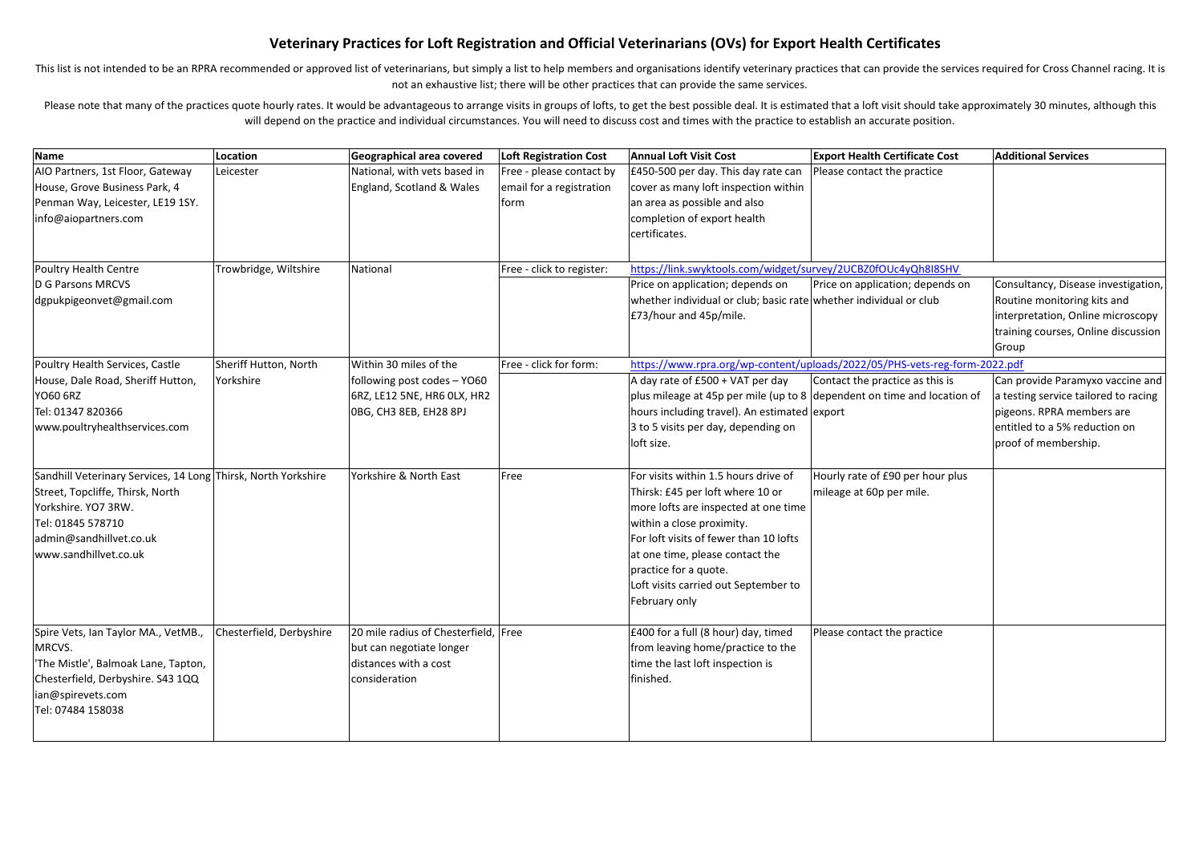## Veterinary Practices for Loft Registration and Official Veterinarians (OVs) for Export Health Certificates

This list is not intended to be an RPRA recommended or approved list of veterinarians, but simply a list to help members and organisations identify veterinary practices that can provide the services required for Cross Chan not an exhaustive list; there will be other practices that can provide the same services.

Please note that many of the practices quote hourly rates. It would be advantageous to arrange visits in groups of lofts, to get the best possible deal. It is estimated that a loft visit should take approximately 30 minute will depend on the practice and individual circumstances. You will need to discuss cost and times with the practice to establish an accurate position.

| Name                                                          | Location                 | Geographical area covered            | <b>Loft Registration Cost</b> | <b>Annual Loft Visit Cost</b>                                           | <b>Export Health Certificate Cost</b>                                      | <b>Additional Services</b>           |
|---------------------------------------------------------------|--------------------------|--------------------------------------|-------------------------------|-------------------------------------------------------------------------|----------------------------------------------------------------------------|--------------------------------------|
| AIO Partners, 1st Floor, Gateway                              | Leicester                | National, with vets based in         | Free - please contact by      | £450-500 per day. This day rate can                                     | Please contact the practice                                                |                                      |
| House, Grove Business Park, 4                                 |                          | England, Scotland & Wales            | email for a registration      | cover as many loft inspection within                                    |                                                                            |                                      |
| Penman Way, Leicester, LE19 1SY.                              |                          |                                      | form                          | an area as possible and also                                            |                                                                            |                                      |
| info@aiopartners.com                                          |                          |                                      |                               | completion of export health                                             |                                                                            |                                      |
|                                                               |                          |                                      |                               | certificates.                                                           |                                                                            |                                      |
|                                                               |                          |                                      |                               |                                                                         |                                                                            |                                      |
| Poultry Health Centre                                         | Trowbridge, Wiltshire    | National                             | Free - click to register:     | https://link.swyktools.com/widget/survey/2UCBZ0fOUc4yQh8I8SHV           |                                                                            |                                      |
| D G Parsons MRCVS                                             |                          |                                      |                               | Price on application; depends on                                        | Price on application; depends on                                           | Consultancy, Disease investigation,  |
| dgpukpigeonvet@gmail.com                                      |                          |                                      |                               | whether individual or club; basic rate whether individual or club       |                                                                            | Routine monitoring kits and          |
|                                                               |                          |                                      |                               | £73/hour and 45p/mile.                                                  |                                                                            | interpretation, Online microscopy    |
|                                                               |                          |                                      |                               |                                                                         |                                                                            | training courses, Online discussion  |
|                                                               |                          |                                      |                               |                                                                         |                                                                            | Group                                |
| Poultry Health Services, Castle                               | Sheriff Hutton, North    | Within 30 miles of the               | Free - click for form:        |                                                                         | https://www.rpra.org/wp-content/uploads/2022/05/PHS-vets-reg-form-2022.pdf |                                      |
| House, Dale Road, Sheriff Hutton,                             | Yorkshire                | following post codes - YO60          |                               | A day rate of £500 + VAT per day                                        | Contact the practice as this is                                            | Can provide Paramyxo vaccine and     |
| YO60 6RZ                                                      |                          | 6RZ, LE12 5NE, HR6 OLX, HR2          |                               | plus mileage at 45p per mile (up to 8 dependent on time and location of |                                                                            | a testing service tailored to racing |
| Tel: 01347 820366                                             |                          | OBG, CH3 8EB, EH28 8PJ               |                               | hours including travel). An estimated export                            |                                                                            | pigeons. RPRA members are            |
| www.poultryhealthservices.com                                 |                          |                                      |                               | 3 to 5 visits per day, depending on                                     |                                                                            | entitled to a 5% reduction on        |
|                                                               |                          |                                      |                               | loft size.                                                              |                                                                            | proof of membership.                 |
|                                                               |                          |                                      |                               |                                                                         |                                                                            |                                      |
| Sandhill Veterinary Services, 14 Long Thirsk, North Yorkshire |                          | Yorkshire & North East               | Free                          | For visits within 1.5 hours drive of                                    | Hourly rate of £90 per hour plus                                           |                                      |
| Street, Topcliffe, Thirsk, North                              |                          |                                      |                               | Thirsk: £45 per loft where 10 or                                        | mileage at 60p per mile.                                                   |                                      |
| Yorkshire. YO7 3RW.                                           |                          |                                      |                               | more lofts are inspected at one time                                    |                                                                            |                                      |
| Tel: 01845 578710                                             |                          |                                      |                               | within a close proximity.                                               |                                                                            |                                      |
| admin@sandhillvet.co.uk                                       |                          |                                      |                               | For loft visits of fewer than 10 lofts                                  |                                                                            |                                      |
| www.sandhillvet.co.uk                                         |                          |                                      |                               | at one time, please contact the                                         |                                                                            |                                      |
|                                                               |                          |                                      |                               | practice for a quote.                                                   |                                                                            |                                      |
|                                                               |                          |                                      |                               | Loft visits carried out September to                                    |                                                                            |                                      |
|                                                               |                          |                                      |                               | February only                                                           |                                                                            |                                      |
|                                                               |                          |                                      |                               |                                                                         |                                                                            |                                      |
| Spire Vets, Ian Taylor MA., VetMB.,                           | Chesterfield, Derbyshire | 20 mile radius of Chesterfield, Free |                               | £400 for a full (8 hour) day, timed                                     | Please contact the practice                                                |                                      |
| MRCVS.                                                        |                          | but can negotiate longer             |                               | from leaving home/practice to the                                       |                                                                            |                                      |
| 'The Mistle', Balmoak Lane, Tapton,                           |                          | distances with a cost                |                               | time the last loft inspection is                                        |                                                                            |                                      |
| Chesterfield, Derbyshire. S43 1QQ                             |                          | consideration                        |                               | finished.                                                               |                                                                            |                                      |
| ian@spirevets.com                                             |                          |                                      |                               |                                                                         |                                                                            |                                      |
| Tel: 07484 158038                                             |                          |                                      |                               |                                                                         |                                                                            |                                      |
|                                                               |                          |                                      |                               |                                                                         |                                                                            |                                      |
|                                                               |                          |                                      |                               |                                                                         |                                                                            |                                      |